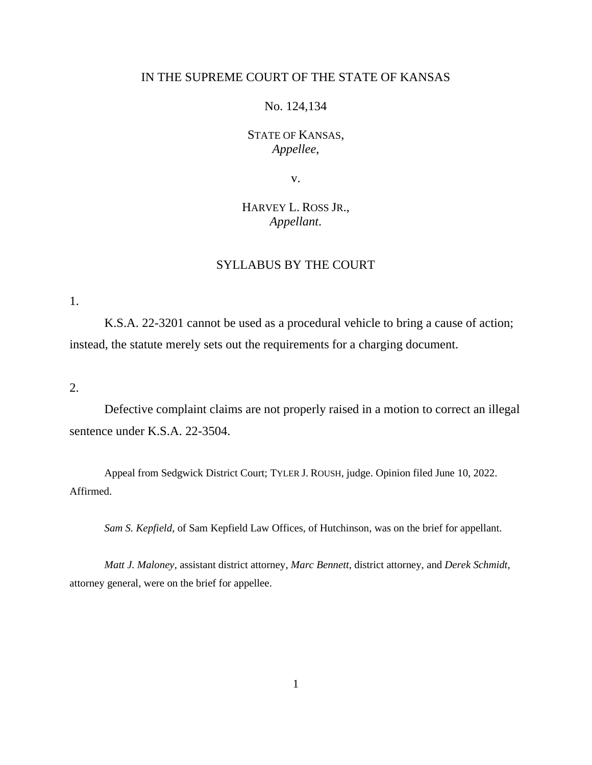### IN THE SUPREME COURT OF THE STATE OF KANSAS

No. 124,134

STATE OF KANSAS, *Appellee*,

v.

# HARVEY L. ROSS JR., *Appellant*.

## SYLLABUS BY THE COURT

1.

K.S.A. 22-3201 cannot be used as a procedural vehicle to bring a cause of action; instead, the statute merely sets out the requirements for a charging document.

2.

Defective complaint claims are not properly raised in a motion to correct an illegal sentence under K.S.A. 22-3504.

Appeal from Sedgwick District Court; TYLER J. ROUSH, judge. Opinion filed June 10, 2022. Affirmed.

*Sam S. Kepfield*, of Sam Kepfield Law Offices, of Hutchinson, was on the brief for appellant.

*Matt J. Maloney*, assistant district attorney, *Marc Bennett*, district attorney, and *Derek Schmidt*, attorney general, were on the brief for appellee.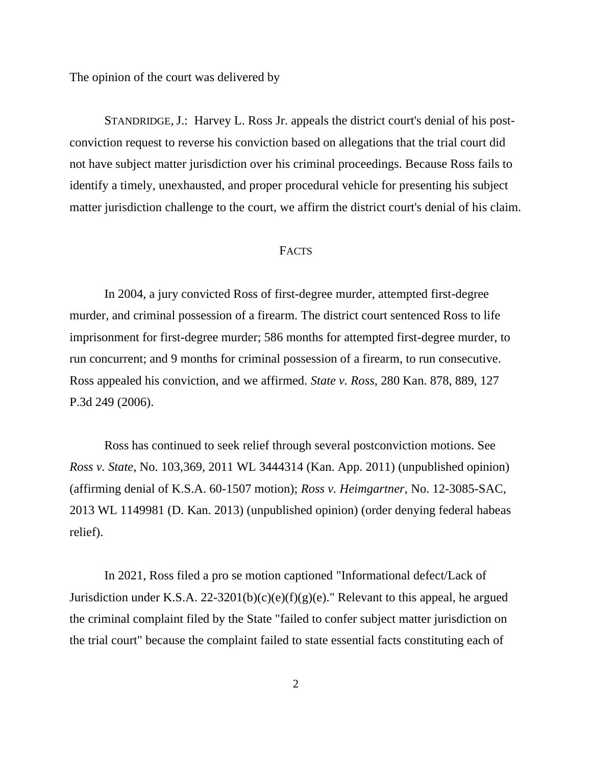The opinion of the court was delivered by

STANDRIDGE, J.: Harvey L. Ross Jr. appeals the district court's denial of his postconviction request to reverse his conviction based on allegations that the trial court did not have subject matter jurisdiction over his criminal proceedings. Because Ross fails to identify a timely, unexhausted, and proper procedural vehicle for presenting his subject matter jurisdiction challenge to the court, we affirm the district court's denial of his claim.

### FACTS

In 2004, a jury convicted Ross of first-degree murder, attempted first-degree murder, and criminal possession of a firearm. The district court sentenced Ross to life imprisonment for first-degree murder; 586 months for attempted first-degree murder, to run concurrent; and 9 months for criminal possession of a firearm, to run consecutive. Ross appealed his conviction, and we affirmed. *State v. Ross*, 280 Kan. 878, 889, 127 P.3d 249 (2006).

Ross has continued to seek relief through several postconviction motions. See *Ross v. State*, No. 103,369, 2011 WL 3444314 (Kan. App. 2011) (unpublished opinion) (affirming denial of K.S.A. 60-1507 motion); *Ross v. Heimgartner*, No. 12-3085-SAC, 2013 WL 1149981 (D. Kan. 2013) (unpublished opinion) (order denying federal habeas relief).

In 2021, Ross filed a pro se motion captioned "Informational defect/Lack of Jurisdiction under K.S.A. 22-3201(b)(c)(e)(f)(g)(e)." Relevant to this appeal, he argued the criminal complaint filed by the State "failed to confer subject matter jurisdiction on the trial court" because the complaint failed to state essential facts constituting each of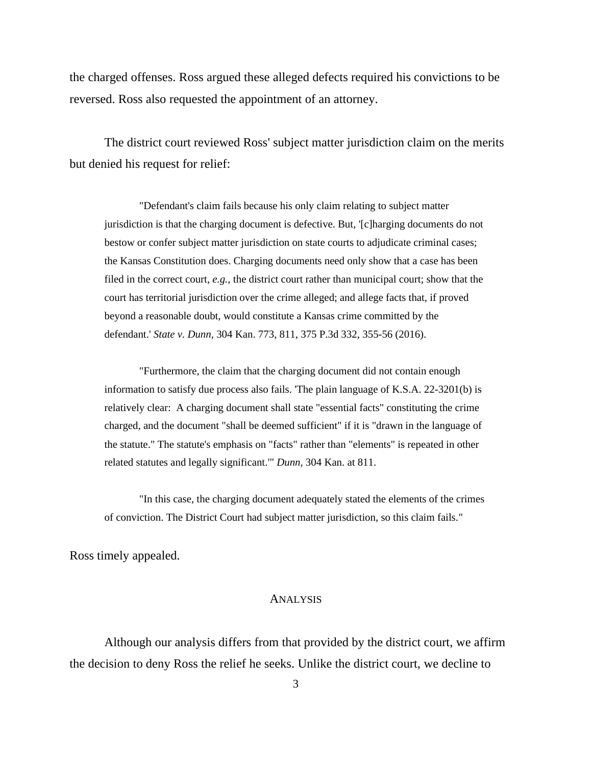the charged offenses. Ross argued these alleged defects required his convictions to be reversed. Ross also requested the appointment of an attorney.

The district court reviewed Ross' subject matter jurisdiction claim on the merits but denied his request for relief:

"Defendant's claim fails because his only claim relating to subject matter jurisdiction is that the charging document is defective. But, '[c]harging documents do not bestow or confer subject matter jurisdiction on state courts to adjudicate criminal cases; the Kansas Constitution does. Charging documents need only show that a case has been filed in the correct court, *e.g.*, the district court rather than municipal court; show that the court has territorial jurisdiction over the crime alleged; and allege facts that, if proved beyond a reasonable doubt, would constitute a Kansas crime committed by the defendant.' *State v. Dunn*, 304 Kan. 773, 811, 375 P.3d 332, 355-56 (2016).

"Furthermore, the claim that the charging document did not contain enough information to satisfy due process also fails. 'The plain language of K.S.A. 22-3201(b) is relatively clear: A charging document shall state "essential facts" constituting the crime charged, and the document "shall be deemed sufficient" if it is "drawn in the language of the statute." The statute's emphasis on "facts" rather than "elements" is repeated in other related statutes and legally significant.'" *Dunn*, 304 Kan. at 811.

"In this case, the charging document adequately stated the elements of the crimes of conviction. The District Court had subject matter jurisdiction, so this claim fails."

Ross timely appealed.

#### ANALYSIS

Although our analysis differs from that provided by the district court, we affirm the decision to deny Ross the relief he seeks. Unlike the district court, we decline to